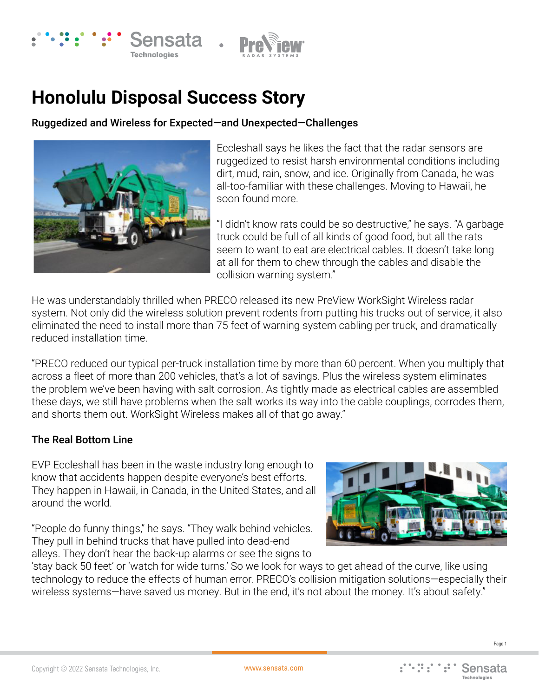



## **Honolulu Disposal Success Story**

Ruggedized and Wireless for Expected—and Unexpected—Challenges



Eccleshall says he likes the fact that the radar sensors are ruggedized to resist harsh environmental conditions including dirt, mud, rain, snow, and ice. Originally from Canada, he was all-too-familiar with these challenges. Moving to Hawaii, he soon found more.

"I didn't know rats could be so destructive," he says. "A garbage truck could be full of all kinds of good food, but all the rats seem to want to eat are electrical cables. It doesn't take long at all for them to chew through the cables and disable the collision warning system."

He was understandably thrilled when PRECO released its new PreView WorkSight Wireless radar system. Not only did the wireless solution prevent rodents from putting his trucks out of service, it also eliminated the need to install more than 75 feet of warning system cabling per truck, and dramatically reduced installation time.

"PRECO reduced our typical per-truck installation time by more than 60 percent. When you multiply that across a fleet of more than 200 vehicles, that's a lot of savings. Plus the wireless system eliminates the problem we've been having with salt corrosion. As tightly made as electrical cables are assembled these days, we still have problems when the salt works its way into the cable couplings, corrodes them, and shorts them out. WorkSight Wireless makes all of that go away."

## The Real Bottom Line

EVP Eccleshall has been in the waste industry long enough to know that accidents happen despite everyone's best efforts. They happen in Hawaii, in Canada, in the United States, and all around the world.

"People do funny things," he says. "They walk behind vehicles. They pull in behind trucks that have pulled into dead-end alleys. They don't hear the back-up alarms or see the signs to



'stay back 50 feet' or 'watch for wide turns.' So we look for ways to get ahead of the curve, like using technology to reduce the effects of human error. PRECO's collision mitigation solutions—especially their wireless systems—have saved us money. But in the end, it's not about the money. It's about safety."